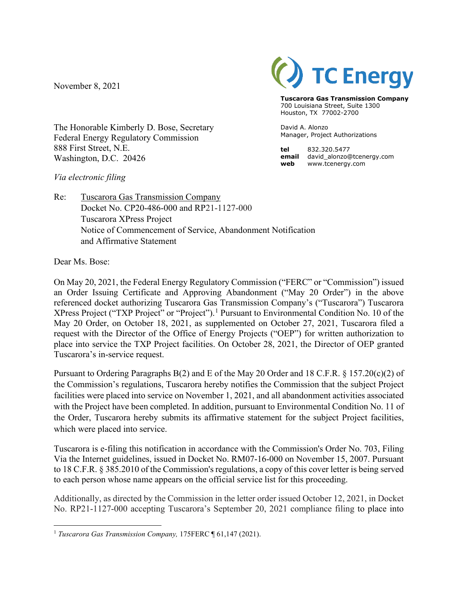November 8, 2021



**Tuscarora Gas Transmission Company** 700 Louisiana Street, Suite 1300 Houston, TX 77002-2700

David A. Alonzo Manager, Project Authorizations

**tel** 832.320.5477 **email** david\_alonzo@tcenergy.com **web** www.tcenergy.com

The Honorable Kimberly D. Bose, Secretary Federal Energy Regulatory Commission 888 First Street, N.E. Washington, D.C. 20426

## *Via electronic filing*

Re: Tuscarora Gas Transmission Company Docket No. CP20-486-000 and RP21-1127-000 Tuscarora XPress Project Notice of Commencement of Service, Abandonment Notification and Affirmative Statement

Dear Ms. Bose:

On May 20, 2021, the Federal Energy Regulatory Commission ("FERC" or "Commission") issued an Order Issuing Certificate and Approving Abandonment ("May 20 Order") in the above referenced docket authorizing Tuscarora Gas Transmission Company's ("Tuscarora") Tuscarora XPress Project ("TXP Project" or "Project").<sup>[1](#page-0-0)</sup> Pursuant to Environmental Condition No. 10 of the May 20 Order, on October 18, 2021, as supplemented on October 27, 2021, Tuscarora filed a request with the Director of the Office of Energy Projects ("OEP") for written authorization to place into service the TXP Project facilities. On October 28, 2021, the Director of OEP granted Tuscarora's in-service request.

Pursuant to Ordering Paragraphs B(2) and E of the May 20 Order and 18 C.F.R. § 157.20(c)(2) of the Commission's regulations, Tuscarora hereby notifies the Commission that the subject Project facilities were placed into service on November 1, 2021, and all abandonment activities associated with the Project have been completed. In addition, pursuant to Environmental Condition No. 11 of the Order, Tuscarora hereby submits its affirmative statement for the subject Project facilities, which were placed into service.

Tuscarora is e-filing this notification in accordance with the Commission's Order No. 703, Filing Via the Internet guidelines, issued in Docket No. RM07-16-000 on November 15, 2007. Pursuant to 18 C.F.R. § 385.2010 of the Commission's regulations, a copy of this cover letter is being served to each person whose name appears on the official service list for this proceeding.

Additionally, as directed by the Commission in the letter order issued October 12, 2021, in Docket No. RP21-1127-000 accepting Tuscarora's September 20, 2021 compliance filing to place into

<span id="page-0-0"></span><sup>1</sup> *Tuscarora Gas Transmission Company,* 175FERC ¶ 61,147 (2021).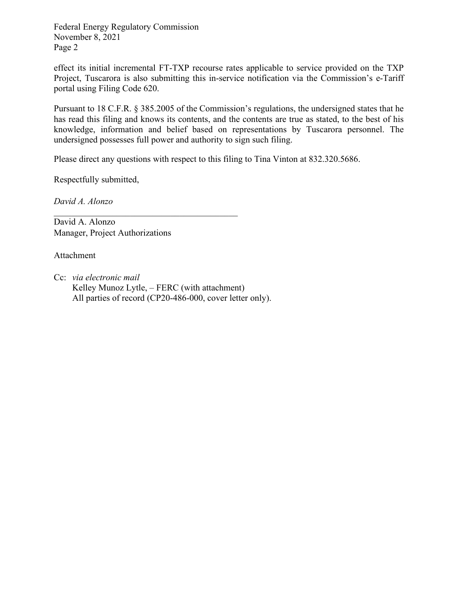Federal Energy Regulatory Commission November 8, 2021 Page 2

effect its initial incremental FT-TXP recourse rates applicable to service provided on the TXP Project, Tuscarora is also submitting this in-service notification via the Commission's e-Tariff portal using Filing Code 620.

Pursuant to 18 C.F.R. § 385.2005 of the Commission's regulations, the undersigned states that he has read this filing and knows its contents, and the contents are true as stated, to the best of his knowledge, information and belief based on representations by Tuscarora personnel. The undersigned possesses full power and authority to sign such filing.

Please direct any questions with respect to this filing to Tina Vinton at 832.320.5686.

Respectfully submitted,

*David A. Alonzo* 

David A. Alonzo Manager, Project Authorizations

Attachment

Cc: *via electronic mail* Kelley Munoz Lytle, – FERC (with attachment) All parties of record (CP20-486-000, cover letter only).